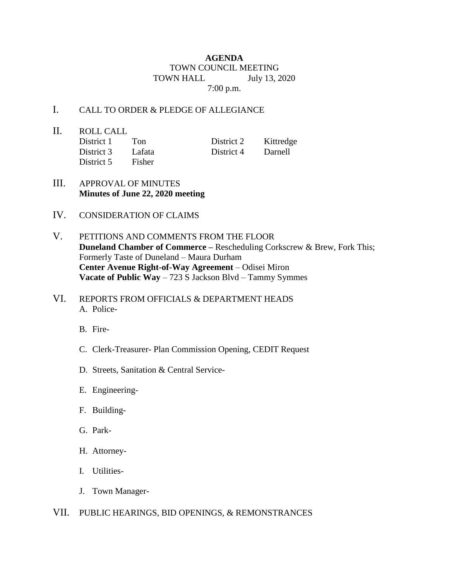## **AGENDA** TOWN COUNCIL MEETING TOWN HALL July 13, 2020 7:00 p.m.

## I. CALL TO ORDER & PLEDGE OF ALLEGIANCE

II. ROLL CALL District 5 Fisher

District 1 Ton District 2 Kittredge District 3 Lafata District 4 Darnell

- III. APPROVAL OF MINUTES **Minutes of June 22, 2020 meeting**
- IV. CONSIDERATION OF CLAIMS
- V. PETITIONS AND COMMENTS FROM THE FLOOR **Duneland Chamber of Commerce –** Rescheduling Corkscrew & Brew, Fork This; Formerly Taste of Duneland – Maura Durham **Center Avenue Right-of-Way Agreement** – Odisei Miron **Vacate of Public Way** – 723 S Jackson Blvd – Tammy Symmes
- VI. REPORTS FROM OFFICIALS & DEPARTMENT HEADS A. Police-
	- B. Fire-
	- C. Clerk-Treasurer- Plan Commission Opening, CEDIT Request
	- D. Streets, Sanitation & Central Service-
	- E. Engineering-
	- F. Building-
	- G. Park-
	- H. Attorney-
	- I. Utilities-
	- J. Town Manager-
- VII. PUBLIC HEARINGS, BID OPENINGS, & REMONSTRANCES